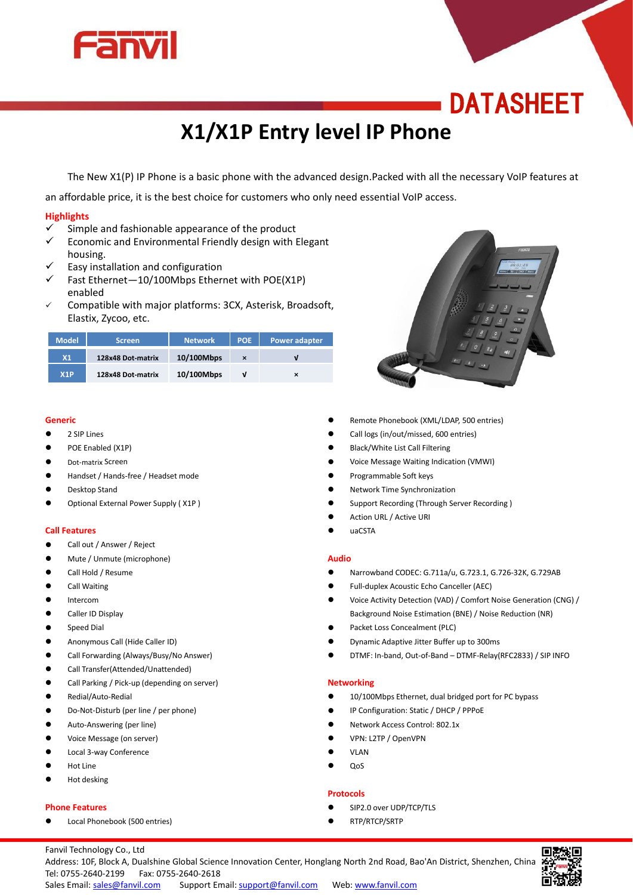

# **DATASHEET**

# **X1/X1P Entry level IP Phone**

The New X1(P) IP Phone is a basic phone with the advanced design.Packed with all the necessary VoIP features at

an affordable price, it is the best choice for customers who only need essential VoIP access.

## **Highlights**

- $\checkmark$  Simple and fashionable appearance of the product  $\checkmark$  Economic and Environmental Friendly design with I
- Economic and Environmental Friendly design with Elegant housing.
- Easy installation and configuration
- $\checkmark$  Fast Ethernet-10/100Mbps Ethernet with POE(X1P) enabled
- Compatible with major platforms: 3CX, Asterisk, Broadsoft, Elastix, Zycoo, etc.

| <b>Model</b> | <b>Screen</b>     | <b>Network</b> | <b>POE</b>                | Power adapter |  |
|--------------|-------------------|----------------|---------------------------|---------------|--|
| X1           | 128x48 Dot-matrix | 10/100Mbps     | $\boldsymbol{\mathsf{x}}$ |               |  |
| X1P          | 128x48 Dot-matrix | 10/100Mbps     |                           | ×             |  |

#### **Generic**

- **2 SIP Lines**
- POE Enabled (X1P)
- **•** Dot-matrix Screen
- Handset / Hands-free / Headset mode
- Desktop Stand
- Optional External Power Supply ( X1P )

#### **Call Features**

- Call out / Answer / Reject
- Mute / Unmute (microphone)
- Call Hold / Resume
- Call Waiting
- **•** Intercom
- **Caller ID Display**
- **•** Speed Dial
- Anonymous Call (Hide Caller ID)
- Call Forwarding (Always/Busy/No Answer)
- Call Transfer(Attended/Unattended)
- Call Parking / Pick-up (depending on server)
- Redial/Auto-Redial
- Do-Not-Disturb (per line / per phone)
- **•** Auto-Answering (per line)
- Voice Message (on server)
- Local 3-way Conference
- Hot Line
- Hot desking

#### **Phone Features**

Local Phonebook (500 entries)



- Remote Phonebook (XML/LDAP, 500 entries)
- Call logs (in/out/missed, 600 entries)
- Black/White List Call Filtering
- Voice Message Waiting Indication (VMWI)
- Programmable Soft keys
- Network Time Synchronization
- Support Recording (Through Server Recording )
- Action URL / Active URI
- uaCSTA

#### **Audio**

- Narrowband CODEC: G.711a/u, G.723.1, G.726-32K, G.729AB
- Full-duplex Acoustic Echo Canceller (AEC)
- Voice Activity Detection (VAD) / Comfort Noise Generation (CNG) / Background Noise Estimation (BNE) / Noise Reduction (NR)
- Packet Loss Concealment (PLC)
- Dynamic Adaptive Jitter Buffer up to 300ms
- DTMF: In-band, Out-of-Band DTMF-Relay(RFC2833) / SIP INFO

#### **Networking**

- 10/100Mbps Ethernet, dual bridged port for PC bypass
- IP Configuration: Static / DHCP / PPPoE
- Network Access Control: 802.1x
- VPN: L2TP / OpenVPN
- VLAN
- QoS

#### **Protocols**

- SIP2.0 over UDP/TCP/TLS
- RTP/RTCP/SRTP

Fanvil Technology Co., Ltd



Address: 10F, Block A, Dualshine Global Science Innovation Center, Honglang North 2nd Road, Bao'An District, Shenzhen, China Tel: 0755-2640-2199 Fax: 0755-2640-2618 Sales Email: [sales@fanvil.com](mailto:sales@fanvil.com) Support Email: [support@fanvil.com](mailto:support@fanvil.com) Web: www.fanvil.com